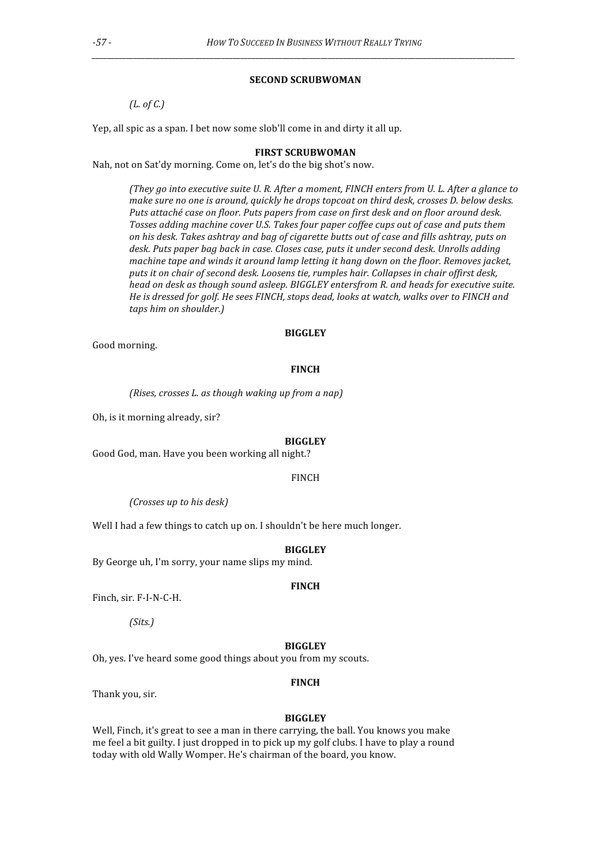### **SECOND
SCRUBWOMAN**

*\_\_\_\_\_\_\_\_\_\_\_\_\_\_\_\_\_\_\_\_\_\_\_\_\_\_\_\_\_\_\_\_\_\_\_\_\_\_\_\_\_\_\_\_\_\_\_\_\_\_\_\_\_\_\_\_\_\_\_\_\_\_\_\_\_\_\_\_\_\_\_\_\_\_\_\_\_\_\_\_\_\_\_\_\_\_\_\_\_\_\_\_\_\_\_\_\_\_\_\_\_\_\_\_\_\_\_\_\_\_\_*

*(L.
of
C.)*

Yep, all spic as a span. I bet now some slob'll come in and dirty it all up.

### **FIRST
SCRUBWOMAN**

Nah, not on Sat'dy morning. Come on, let's do the big shot's now.

*(They
go
into
executive
suite
U.
R.
After
a
moment,
FINCH
enters
from
U.
L.
After
a
glance
to*  make sure no one is around, quickly he drops topcoat on third desk, crosses *D. below desks.* Puts attaché case on floor. Puts papers from case on first desk and on floor around desk. Tosses adding machine cover U.S. Takes four paper coffee cups out of case and puts them on his desk. Takes ashtray and bag of cigarette butts out of case and fills ashtray, puts on desk. Puts paper bag back in case. Closes case, puts it under second desk. Unrolls adding machine tape and winds it around lamp letting it hang down on the floor. Removes jacket, puts it on chair of second desk. Loosens tie, rumples hair. Collapses in chair offirst desk, head on desk as though sound asleep. BIGGLEY entersfrom R. and heads for executive suite. He is dressed for golf. He sees FINCH, stops dead, looks at watch, walks over to FINCH and *taps
him
on
shoulder.)*

### **BIGGLEY**

Good
morning.

### **FINCH**

*(Rises,
crosses
L.
as
though
waking
up
from
a
nap)*

Oh,
is
it
morning
already,
sir?

#### **BIGGLEY**

Good
God,
man.
Have
you
been
working
all
night.?

#### FINCH

*(Crosses
up
to
his
desk)*

Well I had a few things to catch up on. I shouldn't be here much longer.

#### **BIGGLEY**

By
George
uh,
I'm
sorry,
your
name
slips
my
mind.

#### **FINCH**

Finch, sir. F-I-N-C-H.

*(Sits.)*

#### **BIGGLEY**

Oh,
yes.
I've
heard
some
good
things
about
you
from
my
scouts.

#### **FINCH**

Thank
you,
sir.

#### **BIGGLEY**

Well, Finch, it's great to see a man in there carrying, the ball. You knows you make me
feel
a
bit
guilty.
I
just
dropped
in
to
pick
up
my
golf
clubs.
I
have
to
play
a
round today
with
old
Wally
Womper.
He's
chairman
of
the
board,
you
know.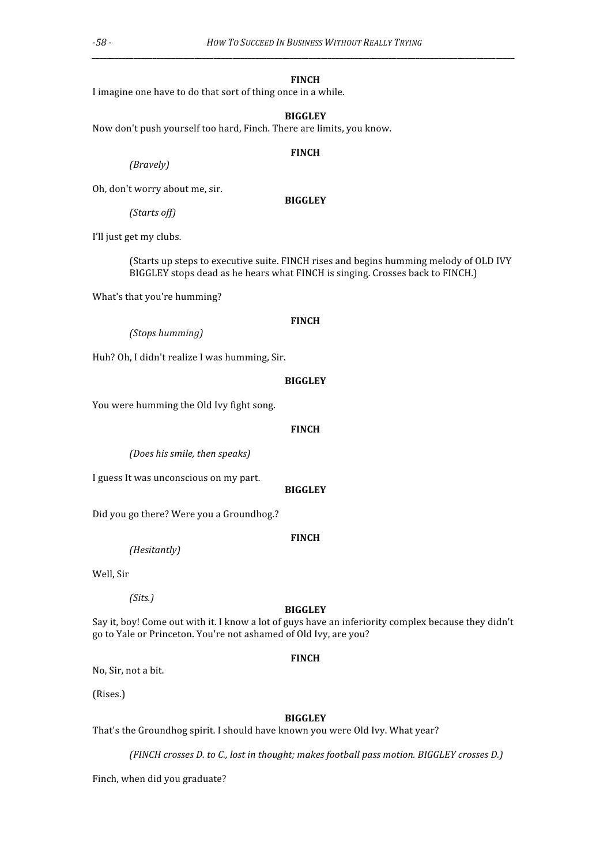#### **FINCH**

*\_\_\_\_\_\_\_\_\_\_\_\_\_\_\_\_\_\_\_\_\_\_\_\_\_\_\_\_\_\_\_\_\_\_\_\_\_\_\_\_\_\_\_\_\_\_\_\_\_\_\_\_\_\_\_\_\_\_\_\_\_\_\_\_\_\_\_\_\_\_\_\_\_\_\_\_\_\_\_\_\_\_\_\_\_\_\_\_\_\_\_\_\_\_\_\_\_\_\_\_\_\_\_\_\_\_\_\_\_\_\_*

I imagine one have to do that sort of thing once in a while.

### **BIGGLEY**

Now
don't
push
yourself
too
hard,
Finch.
There
are
limits,
you
know.

#### **FINCH**

**BIGGLEY**

*(Bravely)*

Oh,
don't
worry
about
me,
sir.

*(Starts
off)*

I'll just get my clubs.

(Starts up steps to executive suite. FINCH rises and begins humming melody of OLD IVY BIGGLEY stops dead as he hears what FINCH is singing. Crosses back to FINCH.)

What's
that
you're
humming?

## **FINCH**

*(Stops
humming)*

Huh?
Oh,
I
didn't
realize
I
was
humming,
Sir.

### **BIGGLEY**

You were humming the Old Ivy fight song.

#### **FINCH**

*(Does
his
smile,
then
speaks)*

I
guess
It
was
unconscious
on
my
part.

## **BIGGLEY**

Did
you
go
there?
Were
you
a
Groundhog.?

# **FINCH**

*(Hesitantly)*

Well,
Sir

### *(Sits.)*

### **BIGGLEY**

Say it, boy! Come out with it. I know a lot of guys have an inferiority complex because they didn't go
to
Yale
or
Princeton.
You're
not
ashamed
of
Old
Ivy,
are
you?

## **FINCH**

No,
Sir,
not
a
bit.

(Rises.)

### **BIGGLEY**

That's the Groundhog spirit. I should have known you were Old Ivy. What year?

*(FINCH
crosses
D.
to
C.,
lost
in
thought;
makes
football
pass
motion.
BIGGLEY
crosses
D.)*

Finch,
when
did
you
graduate?